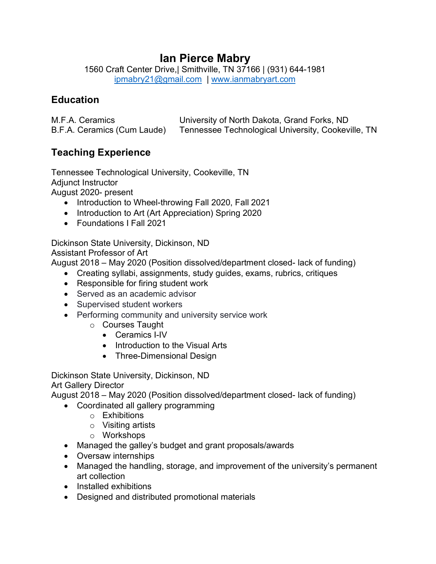# **Ian Pierce Mabry**

1560 Craft Center Drive,| Smithville, TN 37166 | (931) 644-1981 ipmabry21@gmail.com | www.ianmabryart.com

# **Education**

| M.F.A. Ceramics             | University of North Dakota, Grand Forks, ND        |
|-----------------------------|----------------------------------------------------|
| B.F.A. Ceramics (Cum Laude) | Tennessee Technological University, Cookeville, TN |

# **Teaching Experience**

Tennessee Technological University, Cookeville, TN Adjunct Instructor August 2020- present

- Introduction to Wheel-throwing Fall 2020, Fall 2021
- Introduction to Art (Art Appreciation) Spring 2020
- Foundations I Fall 2021

Dickinson State University, Dickinson, ND Assistant Professor of Art

August 2018 – May 2020 (Position dissolved/department closed- lack of funding)

- Creating syllabi, assignments, study guides, exams, rubrics, critiques
- Responsible for firing student work
- Served as an academic advisor
- Supervised student workers
- Performing community and university service work
	- o Courses Taught
		- Ceramics I-IV
		- Introduction to the Visual Arts
		- Three-Dimensional Design

Dickinson State University, Dickinson, ND

Art Gallery Director

August 2018 – May 2020 (Position dissolved/department closed- lack of funding)

- Coordinated all gallery programming
	- o Exhibitions
	- o Visiting artists
	- o Workshops
- Managed the galley's budget and grant proposals/awards
- Oversaw internships
- Managed the handling, storage, and improvement of the university's permanent art collection
- Installed exhibitions
- Designed and distributed promotional materials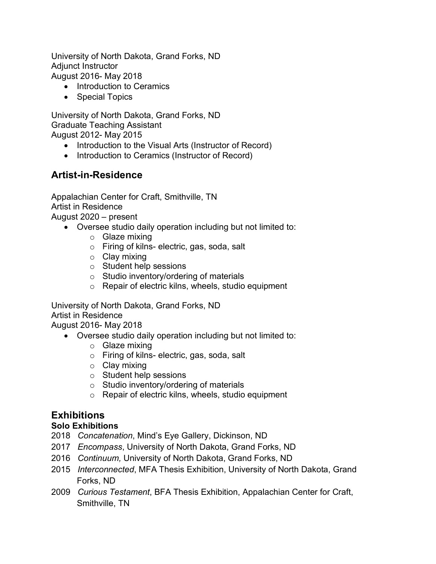University of North Dakota, Grand Forks, ND Adjunct Instructor August 2016- May 2018

- Introduction to Ceramics
- Special Topics

University of North Dakota, Grand Forks, ND Graduate Teaching Assistant August 2012- May 2015

- Introduction to the Visual Arts (Instructor of Record)
- Introduction to Ceramics (Instructor of Record)

# **Artist-in-Residence**

Appalachian Center for Craft, Smithville, TN Artist in Residence August 2020 – present

- Oversee studio daily operation including but not limited to:
	- o Glaze mixing
	- o Firing of kilns- electric, gas, soda, salt
	- o Clay mixing
	- o Student help sessions
	- o Studio inventory/ordering of materials
	- o Repair of electric kilns, wheels, studio equipment

University of North Dakota, Grand Forks, ND Artist in Residence August 2016- May 2018

- Oversee studio daily operation including but not limited to:
	- o Glaze mixing
	- o Firing of kilns- electric, gas, soda, salt
	- o Clay mixing
	- o Student help sessions
	- o Studio inventory/ordering of materials
	- o Repair of electric kilns, wheels, studio equipment

## **Exhibitions**

#### **Solo Exhibitions**

- 2018 *Concatenation*, Mind's Eye Gallery, Dickinson, ND
- 2017 *Encompass*, University of North Dakota, Grand Forks, ND
- 2016 *Continuum,* University of North Dakota, Grand Forks, ND
- 2015 *Interconnected*, MFA Thesis Exhibition, University of North Dakota, Grand Forks, ND
- 2009 *Curious Testament*, BFA Thesis Exhibition, Appalachian Center for Craft, Smithville, TN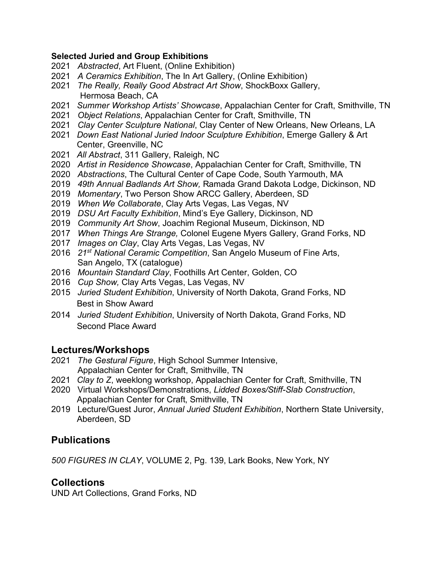#### **Selected Juried and Group Exhibitions**

- 2021 *Abstracted*, Art Fluent, (Online Exhibition)
- 2021 *A Ceramics Exhibition*, The In Art Gallery, (Online Exhibition)
- 2021 *The Really, Really Good Abstract Art Show*, ShockBoxx Gallery, Hermosa Beach, CA
- 2021 *Summer Workshop Artists' Showcase*, Appalachian Center for Craft, Smithville, TN
- 2021 *Object Relations*, Appalachian Center for Craft, Smithville, TN
- 2021 *Clay Center Sculpture National*, Clay Center of New Orleans, New Orleans, LA
- 2021 *Down East National Juried Indoor Sculpture Exhibition*, Emerge Gallery & Art Center, Greenville, NC
- 2021 *All Abstract*, 311 Gallery, Raleigh, NC
- 2020 *Artist in Residence Showcase*, Appalachian Center for Craft, Smithville, TN
- 2020 *Abstractions*, The Cultural Center of Cape Code, South Yarmouth, MA
- 2019 *49th Annual Badlands Art Show,* Ramada Grand Dakota Lodge, Dickinson, ND
- 2019 *Momentary*, Two Person Show ARCC Gallery, Aberdeen, SD
- 2019 *When We Collaborate*, Clay Arts Vegas, Las Vegas, NV
- 2019 *DSU Art Faculty Exhibition*, Mind's Eye Gallery, Dickinson, ND
- 2019 *Community Art Show*, Joachim Regional Museum, Dickinson, ND
- 2017 *When Things Are Strange,* Colonel Eugene Myers Gallery, Grand Forks, ND
- 2017 *Images on Clay*, Clay Arts Vegas, Las Vegas, NV
- 2016 *21st National Ceramic Competition*, San Angelo Museum of Fine Arts, San Angelo, TX (catalogue)
- 2016 *Mountain Standard Clay*, Foothills Art Center, Golden, CO
- 2016 *Cup Show,* Clay Arts Vegas, Las Vegas, NV
- 2015 *Juried Student Exhibition*, University of North Dakota, Grand Forks, ND Best in Show Award
- 2014 *Juried Student Exhibition*, University of North Dakota, Grand Forks, ND Second Place Award

## **Lectures/Workshops**

- 2021 *The Gestural Figure*, High School Summer Intensive, Appalachian Center for Craft, Smithville, TN
- 2021 *Clay to Z*, weeklong workshop, Appalachian Center for Craft, Smithville, TN
- 2020 Virtual Workshops/Demonstrations, *Lidded Boxes/Stiff-Slab Construction*, Appalachian Center for Craft, Smithville, TN
- 2019 Lecture/Guest Juror, *Annual Juried Student Exhibition*, Northern State University, Aberdeen, SD

## **Publications**

*500 FIGURES IN CLAY*, VOLUME 2, Pg. 139, Lark Books, New York, NY

### **Collections**

UND Art Collections, Grand Forks, ND